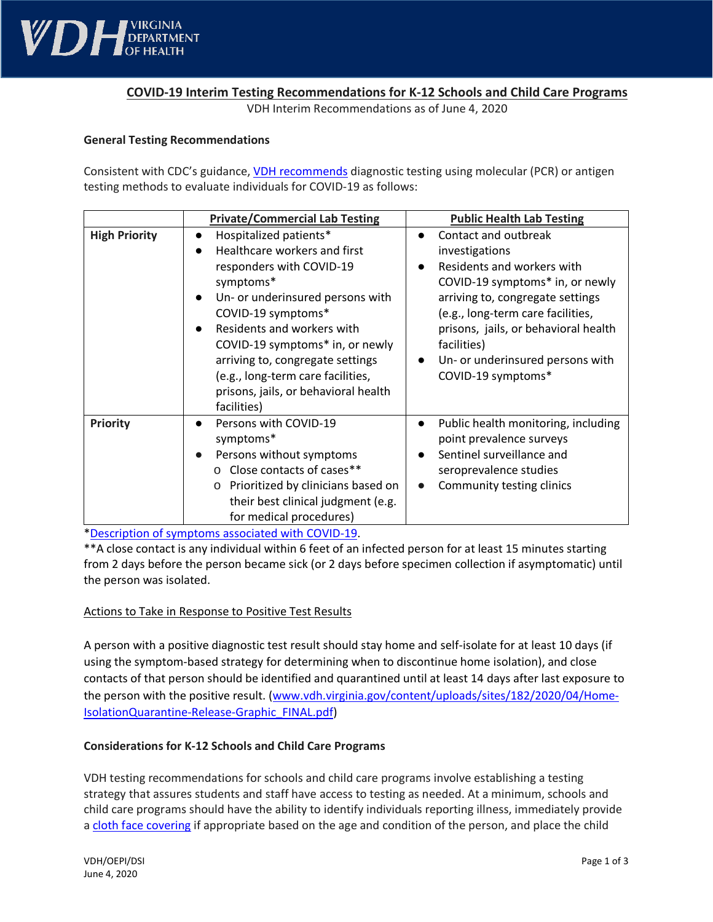

# **COVID-19 Interim Testing Recommendations for K-12 Schools and Child Care Programs**

VDH Interim Recommendations as of June 4, 2020

#### **General Testing Recommendations**

Consistent with CDC's guidance, **VDH recommends diagnostic testing using molecular (PCR)** or antigen testing methods to evaluate individuals for COVID-19 as follows:

|                      | <b>Private/Commercial Lab Testing</b>                                                                                                                                                                                                                                                                                                                      | <b>Public Health Lab Testing</b>                                                                                                                                                                                                                                                                               |
|----------------------|------------------------------------------------------------------------------------------------------------------------------------------------------------------------------------------------------------------------------------------------------------------------------------------------------------------------------------------------------------|----------------------------------------------------------------------------------------------------------------------------------------------------------------------------------------------------------------------------------------------------------------------------------------------------------------|
| <b>High Priority</b> | Hospitalized patients*<br>Healthcare workers and first<br>responders with COVID-19<br>symptoms*<br>Un- or underinsured persons with<br>COVID-19 symptoms*<br>Residents and workers with<br>COVID-19 symptoms* in, or newly<br>arriving to, congregate settings<br>(e.g., long-term care facilities,<br>prisons, jails, or behavioral health<br>facilities) | Contact and outbreak<br>$\bullet$<br>investigations<br>Residents and workers with<br>COVID-19 symptoms* in, or newly<br>arriving to, congregate settings<br>(e.g., long-term care facilities,<br>prisons, jails, or behavioral health<br>facilities)<br>Un- or underinsured persons with<br>COVID-19 symptoms* |
| Priority             | Persons with COVID-19<br>symptoms*<br>Persons without symptoms<br>○ Close contacts of cases**<br>Prioritized by clinicians based on<br>$\circ$<br>their best clinical judgment (e.g.<br>for medical procedures)                                                                                                                                            | Public health monitoring, including<br>$\bullet$<br>point prevalence surveys<br>Sentinel surveillance and<br>seroprevalence studies<br>Community testing clinics<br>$\bullet$                                                                                                                                  |

[\\*Description of symptoms associated with COVID-19.](https://www.cdc.gov/coronavirus/2019-ncov/symptoms-testing/symptoms.html)

\*\*A close contact is any individual within 6 feet of an infected person for at least 15 minutes starting from 2 days before the person became sick (or 2 days before specimen collection if asymptomatic) until the person was isolated.

## Actions to Take in Response to Positive Test Results

A person with a positive diagnostic test result should stay home and self-isolate for at least 10 days (if using the symptom-based strategy for determining when to discontinue home isolation), and close contacts of that person should be identified and quarantined until at least 14 days after last exposure to the person with the positive result. [\(www.vdh.virginia.gov/content/uploads/sites/182/2020/04/Home-](http://www.vdh.virginia.gov/content/uploads/sites/182/2020/04/Home-IsolationQuarantine-Release-Graphic_FINAL.pdf)[IsolationQuarantine-Release-Graphic\\_FINAL.pdf\)](http://www.vdh.virginia.gov/content/uploads/sites/182/2020/04/Home-IsolationQuarantine-Release-Graphic_FINAL.pdf)

## **Considerations for K-12 Schools and Child Care Programs**

VDH testing recommendations for schools and child care programs involve establishing a testing strategy that assures students and staff have access to testing as needed. At a minimum, schools and child care programs should have the ability to identify individuals reporting illness, immediately provide a [cloth face covering](https://www.vdh.virginia.gov/coronavirus/cloth-face-covers/) if appropriate based on the age and condition of the person, and place the child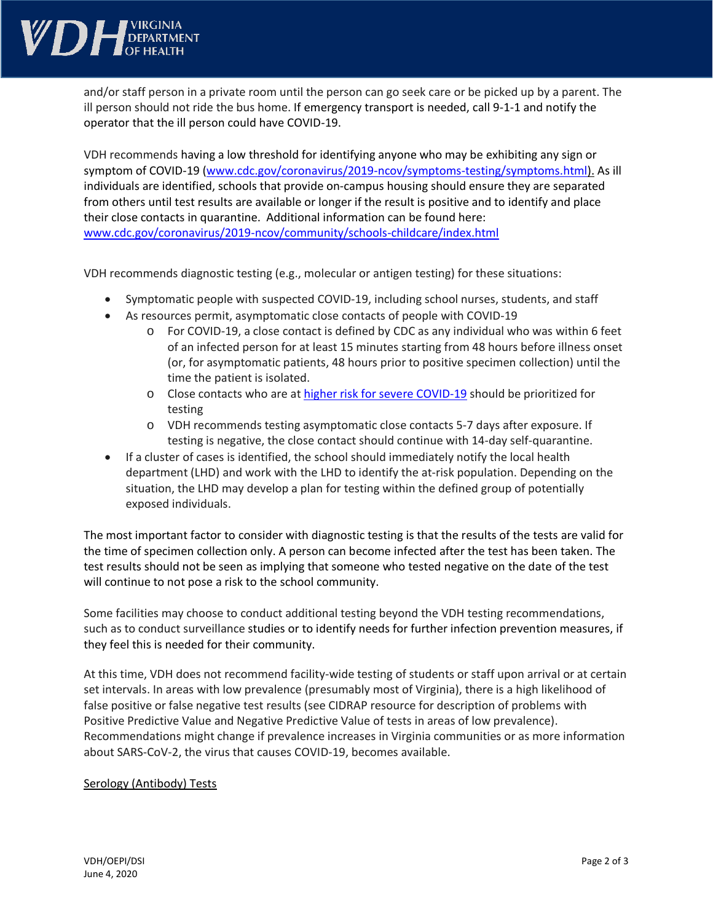

and/or staff person in a private room until the person can go seek care or be picked up by a parent. The ill person should not ride the bus home. If emergency transport is needed, call 9-1-1 and notify the operator that the ill person could have COVID-19.

VDH recommends having a low threshold for identifying anyone who may be exhibiting any sign or symptom of COVID-19 [\(www.cdc.gov/coronavirus/2019-ncov/symptoms-testing/symptoms.html\)](https://www.cdc.gov/coronavirus/2019-ncov/symptoms-testing/symptoms.html). As ill individuals are identified, schools that provide on-campus housing should ensure they are separated from others until test results are available or longer if the result is positive and to identify and place their close contacts in quarantine. Additional information can be found here: [www.cdc.gov/coronavirus/2019-ncov/community/schools-childcare/index.html](http://www.cdc.gov/coronavirus/2019-ncov/community/schools-childcare/index.html)

VDH recommends diagnostic testing (e.g., molecular or antigen testing) for these situations:

- Symptomatic people with suspected COVID-19, including school nurses, students, and staff
- As resources permit, asymptomatic close contacts of people with COVID-19
	- o For COVID-19, a close contact is defined by CDC as any individual who was within 6 feet of an infected person for at least 15 minutes starting from 48 hours before illness onset (or, for asymptomatic patients, 48 hours prior to positive specimen collection) until the time the patient is isolated.
	- o Close contacts who are at higher [risk for severe COVID-19](https://www.cdc.gov/coronavirus/2019-ncov/need-extra-precautions/people-at-higher-risk.html) should be prioritized for testing
	- o VDH recommends testing asymptomatic close contacts 5-7 days after exposure. If testing is negative, the close contact should continue with 14-day self-quarantine.
- If a cluster of cases is identified, the school should immediately notify the local health department (LHD) and work with the LHD to identify the at-risk population. Depending on the situation, the LHD may develop a plan for testing within the defined group of potentially exposed individuals.

The most important factor to consider with diagnostic testing is that the results of the tests are valid for the time of specimen collection only. A person can become infected after the test has been taken. The test results should not be seen as implying that someone who tested negative on the date of the test will continue to not pose a risk to the school community.

Some facilities may choose to conduct additional testing beyond the VDH testing recommendations, such as to conduct surveillance studies or to identify needs for further infection prevention measures, if they feel this is needed for their community.

At this time, VDH does not recommend facility-wide testing of students or staff upon arrival or at certain set intervals. In areas with low prevalence (presumably most of Virginia), there is a high likelihood of false positive or false negative test results (see CIDRAP resource for description of problems with Positive Predictive Value and Negative Predictive Value of tests in areas of low prevalence). Recommendations might change if prevalence increases in Virginia communities or as more information about SARS-CoV-2, the virus that causes COVID-19, becomes available.

## Serology (Antibody) Tests